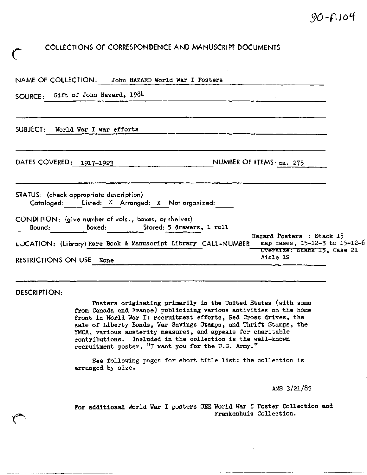## **COLLECTIONS OF CORRESPONDENCE AND MANUSCRIPT DOCUMENTS**

| NAME OF COLLECTION: John HAZARD World War I Posters                                                |                                                                                           |
|----------------------------------------------------------------------------------------------------|-------------------------------------------------------------------------------------------|
| SOURCE: Gift of John Hazard, 1984                                                                  |                                                                                           |
| SUBJECT: World War I war efforts                                                                   |                                                                                           |
| DATES COVERED: 1917-1923                                                                           | NUMBER OF ITEMS: ca. 275                                                                  |
| STATUS: (check appropriate description)<br>Cataloged: Listed: $X$ Arranged: $X$ Not-organized:     |                                                                                           |
| CONDITION: (give number of vols., boxes, or shelves)<br>Boxed: Stored: 5 drawers, 1 roll<br>Bo∪nd: |                                                                                           |
| LOCATION: (Library) Rare Book & Manuscript Library CALL-NUMBER                                     | Hazard Posters : Stack 15<br>map cases, 15-12-3 to 15-12-6<br>Oversize: Stack 15, Case 21 |
| <b>RESTRICTIONS ON USE None</b>                                                                    | Aisle 12                                                                                  |

**DESCRIPTION:**

**C**

Posters originating primarily in the United States (with some from Canada and France) publicizing various activities on the home front in World War I: recruitment efforts, Red Cross drives, the sale of Liberty Bonds, War Savings Stamps, and Thrift Stamps, the YMCA, various austerity measures, and appeals for charitable contributions. Included in the collection is the well-known recruitment poster, "I want you for the U.S. Army."

See following pages for short title list: the collection is arranged by size.

AMS 3/21/85

For additional World War I posters SEE World War I Poster Collection and Frankenhuis Collection.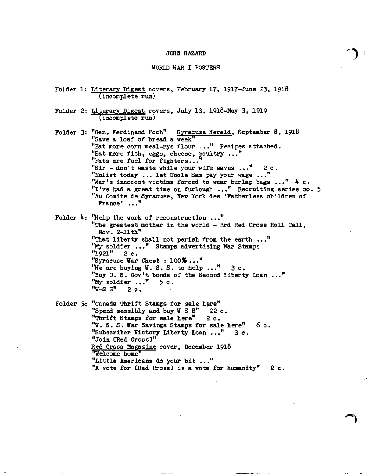## JOHN HAZARD

## WORLD WAR I POSTERS

- Folder 1: Literary Digest covers, February 17, 1917-June 23, 1918 (incomplete run)
- Folder 2: Literary Digest covers, July 13, 19l8-May 3, 1919 (incomplete run)
- Folder 3: "Gen. Ferdinand Foch" Syracuse Herald, September 8, 19l8 "Save a loaf of bread a week" "Eat more corn meal-rye flour ..." Recipes attached. "Eat more fish, eggs, cheese, poultry ..." "Fats are fuel for fighters..." "Sir - don't waste while your wife saves ..." 2 c. "Enlist today ... let Uncle Sam pay your wage ..." "War's innocent victims forced to wear burlap bags ..."  $\frac{1}{2}$  c. "I've had a great time on furlough ..." Recruiting series no. 5 "Au Comite de Syracuse, New York des 'Fatherless children of France' ..."

Folder  $\frac{1}{4}$ : "Help the work of reconstruction ..." "The greatest mother in the world - 3rd Red Cross Roll Call, Nov. 2-11th" "That liberty shall not perish from the earth ..." "My soldier ..." Stamps advertising War Stamps "1921" 2c . "Syracuse War Chest : 100%..." "We are buying W. S. S. to help  $\ldots$ " 3 c. "Buy U. S. Gov<sup>f</sup>t bonds of the Second Liberty Loan ..." "My soldier ..." 5 c. "W-S S" 2 c,

Folder 5: "Canada Thrift Stamps for sale here" "Spend sensibly and buy W S S" 22 c. "Thrift Stamps for sale here" 2 c. "W. S. S, War Savings Stamps for sale here" 6 c. "Subscriber Victory Liberty Loan ..." 3c . "Join CRed Cross3" Red Cross Magazine cover, December 1918 "Welcome home" "Little Americans do your bit ..." "A vote for CRed Cross] is a vote for humanity"  $2 c.$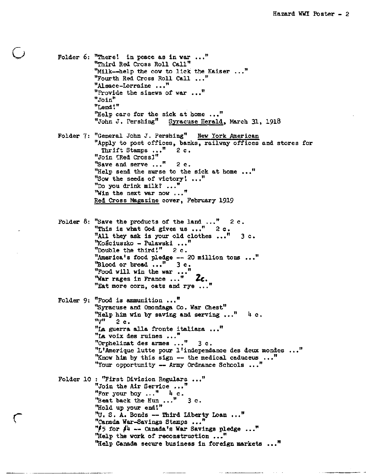Folder 6: "There! in peace as in war ..." "Third Red Cross Roll Call" "Milk—help the cow to lick the Kaiser ..." "Fourth Red Cross Roll Call ..." "Alsace-Lorraine ..." "Provide the sinews of war ..." "Join" "Lend!" "Help care for the sick at home  $\ldots$ "<br>"John J. Pershing" Syracuse Herald Syracuse Herald, March 31, 1918 Folder 7: "General John J. Pershing" New York American "Apply to post offices, banks, railway offices and stores for Thrift Stamps ..." 2c. "Join IRed CrossJ"  $2$  c. "Help send the nurse to the sick at home  $\ldots$ " "Sow the seeds of victory! ..." "Save and serve ...' "Do you drink milk? ..." "Win the next war now ..." Red Cross Magazine cover, February 1919 Folder 8: "Save the products of the land  $\ldots$ " 2c. "This is what God gives us  $\ldots$ ." 2c. "All they ask is your old clothes  $\ldots$ " 3 c. "Kosciuszko - Pulawski ... " "Double the third!"  $2 c.$ "America's food pledge — 20 million tons ... " "Blood or bread  $\ldots$ " 3 c.  $"$  Food will win the war ... "War rages in France  $\ldots$ " 2 $c$ . "Eat more corn, oats and rye ... Folder 9: "Food is ammunition ... " "Syracuse and Onondaga Co. War Chest" "Help him win by saving and serving  $\ldots$ " 4 c.  $^{\mathbf{n}}$ V<sup> $^{\mathbf{n}}$ </sup> 2 c. "La guerra alia fronte italiana ..." "La voix des ruines ..." "Orphelinat des armes ..." 3c . "L'Amerique lutte pour l'independance des deux mondes ..." "Know him by this sign  $--$  the medical caduceus ..." "Your opportunity — Army Ordnance Schools ... " Folder 10 : "First Division Regulars ... " "Join the Air Service ... " "For your boy ... " *k* c "Beat back the Hun..." 3 c. "Hold up your end'." "U, S. A. Bonds — Third Liberty Loan ... " "Canada War-Savings Stamps ... " f 75 for *fh* — Canada's War Savings pledge ... n "Help the work of reconstruction ... " "Help Canada secure business in foreign markets ... "

**C**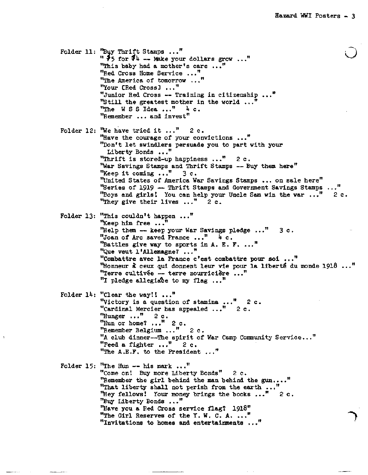Folder 11: "Buy Thrift Stamps ... "  $"$  <sup>1</sup>  $\overline{5}$  for  $\overline{7}$ <sup>4</sup> -- Make your dollars grow ..." "This baby had a mother's care ..." "Red Cross Home Service ... " "The America of tomorrow  $\ldots$ "Your CRed Cross3 ... " "Junior Red Cross — Training in citizenship ... " "Still the greatest mother in the world ... " "The W S S Idea ... " *k* c. "Remember ... and invest" Folder 12: "We have tried it  $\ldots$ ." 2 c. "Have the courage of your convictions ..." "Don't let swindlers persuade you to part with your Liberty Bonds ..." "Thrift is stored-up happiness  $\ldots$ " 2c. "War Savings Stamps and Thrift Stamps — Buy them here" "Keep it coming  $\ldots$ " 3 c. "United States of America War Savings Stamps ... on sale here" "Series of 1919 -- Thrift Stamps and Government Savings Stamps ..." "Boys and girls! You can help your Uncle Sam win the war ..." "They give their lives  $\ldots$ " 2 c. **2 c** Folder 13: "This couldn't happen ..." "Keep him free ..." "Help them — keep your War Savings pledge ... " 3 c. "Joan of Arc saved France ... " *h* c. "Battles give way to sports in  $A$ . E. F. ..." "Que veut l'Allemagne? ... " "Combattre avec la France c'est combattre pour soi ... " "Honneur à ceux qui donnent leur vie pour la liberté du monde 1918..." "Terre cultivée -- terre nourricière ..." "I pledge allegiace to my flag  $\ldots$ " Folder  $14:$  "Clear the way!! ..." 2 c 2c "Victory is a question of stamina "Cardinal Mercier has appealed ... "Hunger  $\ldots$ " 2 c. "Hun or home?  $\ldots$ " 2<sub>c</sub>. "Remember Belgium ..." 2c . "A club dinner—The spirit of War Camp Community Service. "Feed a fighter  $\ldots$ " 2 c. "The A.E.F. to the President ... " Folder 15: "The Hun  $--$  his mark ..." "Come on! Buy more Liberty Bonds" 2 c. "Remember the girl behind the man behind the gun...." "That liberty shall not perish from the earth ... "Hey fellows! Your money brings the books ..."  $2 c.$ "Buy Liberty Bonds ..." "Have you a Red Cross service flag? 1918" "The Girl Reserves of the Y. W. C. A. ..." "invitations to homes and entertainments ..."